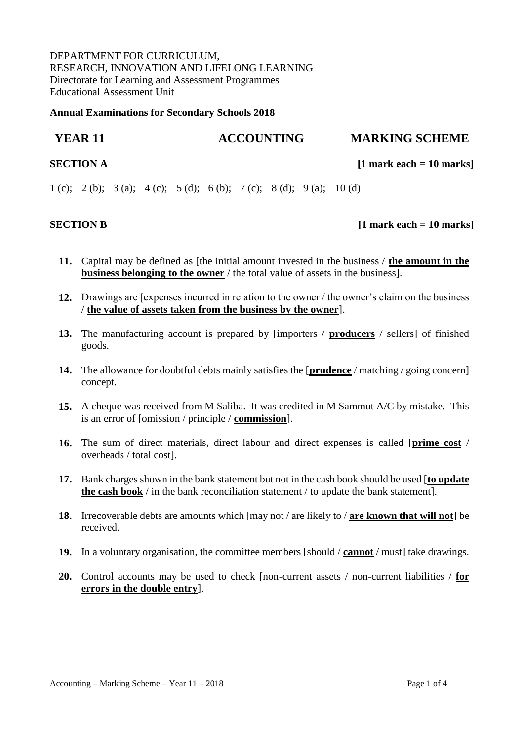# DEPARTMENT FOR CURRICULUM, RESEARCH, INNOVATION AND LIFELONG LEARNING Directorate for Learning and Assessment Programmes Educational Assessment Unit

**Annual Examinations for Secondary Schools 2018** 

# **YEAR 11 ACCOUNTING MARKING SCHEME**

### **SECTION A** [1 mark each = 10 marks]

1 (c); 2 (b); 3 (a); 4 (c); 5 (d); 6 (b); 7 (c); 8 (d); 9 (a); 10 (d)

## **SECTION B** [1 mark each = 10 marks]

- **11.** Capital may be defined as [the initial amount invested in the business / **the amount in the business belonging to the owner** / the total value of assets in the business].
- **12.** Drawings are [expenses incurred in relation to the owner / the owner's claim on the business / **the value of assets taken from the business by the owner**].
- **13.** The manufacturing account is prepared by [importers / **producers** / sellers] of finished goods.
- **14.** The allowance for doubtful debts mainly satisfies the [**prudence** / matching / going concern] concept.
- **15.** A cheque was received from M Saliba. It was credited in M Sammut A/C by mistake. This is an error of [omission / principle / **commission**].
- **16.** The sum of direct materials, direct labour and direct expenses is called [**prime cost** / overheads / total cost].
- **17.** Bank charges shown in the bank statement but not in the cash book should be used [**to update the cash book** / in the bank reconciliation statement / to update the bank statement].
- **18.** Irrecoverable debts are amounts which [may not / are likely to / **are known that will not**] be received.
- **19.** In a voluntary organisation, the committee members [should / **cannot** / must] take drawings.
- **20.** Control accounts may be used to check [non-current assets / non-current liabilities / **for errors in the double entry**].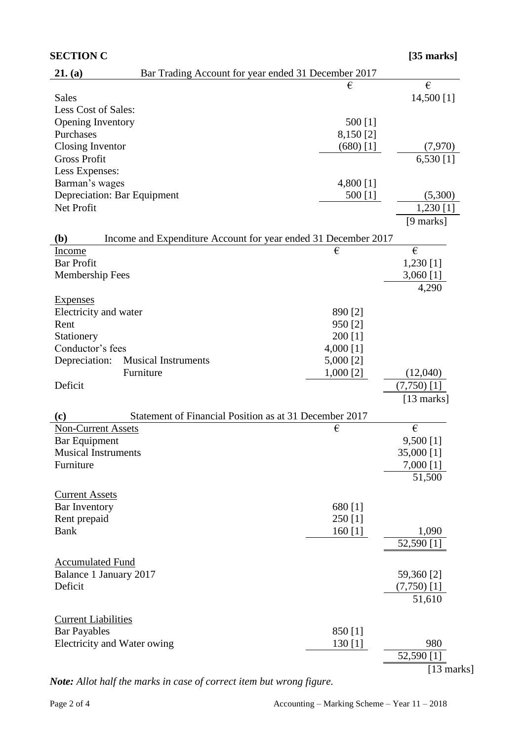| <b>SECTION C</b>                                                      |             | $[35$ marks]           |
|-----------------------------------------------------------------------|-------------|------------------------|
| Bar Trading Account for year ended 31 December 2017<br>21. (a)        |             |                        |
|                                                                       | €           | €                      |
| <b>Sales</b>                                                          |             | 14,500 [1]             |
| Less Cost of Sales:                                                   |             |                        |
| Opening Inventory                                                     | 500 [1]     |                        |
| Purchases                                                             | 8,150 [2]   |                        |
| Closing Inventor                                                      | $(680)$ [1] | (7,970)                |
| <b>Gross Profit</b>                                                   |             | $\overline{6,}530$ [1] |
| Less Expenses:                                                        |             |                        |
| Barman's wages                                                        | 4,800 [1]   |                        |
| Depreciation: Bar Equipment                                           | 500 [1]     | (5,300)                |
| Net Profit                                                            |             | 1,230 $[1]$            |
|                                                                       |             | $[9 \text{ marks}]$    |
| Income and Expenditure Account for year ended 31 December 2017<br>(b) |             |                        |
| Income                                                                | €           | €                      |
| <b>Bar Profit</b>                                                     |             | 1,230 [1]              |
| <b>Membership Fees</b>                                                |             | 3,060 [1]              |
|                                                                       |             | 4,290                  |
| <b>Expenses</b>                                                       |             |                        |
| Electricity and water                                                 | 890 [2]     |                        |
| Rent                                                                  | 950 [2]     |                        |
| Stationery                                                            | 200 [1]     |                        |
| Conductor's fees                                                      | 4,000 [1]   |                        |
| Depreciation:<br><b>Musical Instruments</b>                           | 5,000 [2]   |                        |
| Furniture                                                             | 1,000 [2]   | (12,040)               |
| Deficit                                                               |             | $(7,750)$ [1]          |
|                                                                       |             | $[13$ marks]           |
| Statement of Financial Position as at 31 December 2017<br>(c)         |             |                        |
| <b>Non-Current Assets</b>                                             | €           | €                      |
| <b>Bar Equipment</b>                                                  |             | 9,500 [1]              |
| <b>Musical Instruments</b>                                            |             | 35,000 [1]             |
| Furniture                                                             |             | 7,000 [1]              |
|                                                                       |             | 51,500                 |
|                                                                       |             |                        |
| <b>Current Assets</b>                                                 |             |                        |
| Bar Inventory                                                         | 680 [1]     |                        |
| Rent prepaid                                                          | 250 [1]     |                        |
| <b>Bank</b>                                                           | $160$ [1]   | 1,090                  |
|                                                                       |             | 52,590 [1]             |
| <b>Accumulated Fund</b>                                               |             |                        |
| Balance 1 January 2017                                                |             | 59,360 [2]             |
| Deficit                                                               |             | $(7,750)$ [1]          |
|                                                                       |             | 51,610                 |
|                                                                       |             |                        |
| <b>Current Liabilities</b>                                            |             |                        |
| <b>Bar Payables</b>                                                   | 850 [1]     |                        |
| Electricity and Water owing                                           | 130 $[1]$   | 980                    |
|                                                                       |             | 52,590 [1]             |
|                                                                       |             | $[13$ marks]           |

*Note: Allot half the marks in case of correct item but wrong figure.*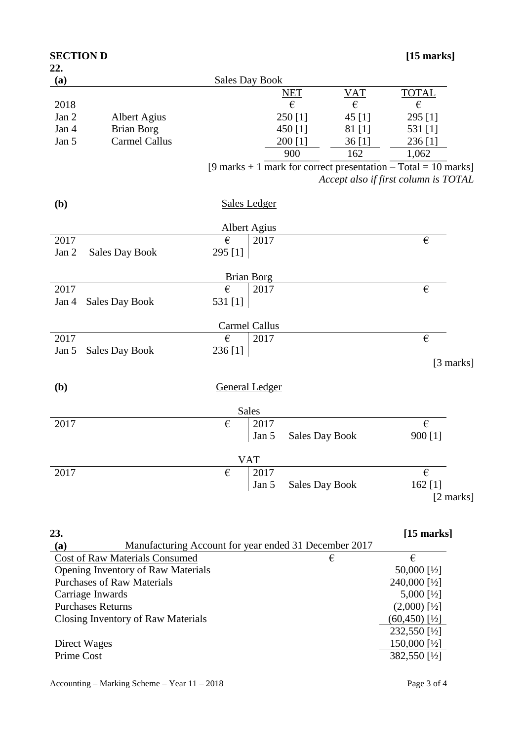| <b>SECTION D</b> |                       |                       |                       |                                  | $[15$ marks]                                                     |
|------------------|-----------------------|-----------------------|-----------------------|----------------------------------|------------------------------------------------------------------|
| 22.<br>(a)       |                       | <b>Sales Day Book</b> |                       |                                  |                                                                  |
|                  |                       |                       | <b>NET</b>            |                                  | <b>TOTAL</b>                                                     |
| 2018             |                       |                       | €                     | $\frac{\text{VAT}}{\varepsilon}$ | $\boldsymbol{\epsilon}$                                          |
| Jan 2            | <b>Albert Agius</b>   |                       | 250 [1]               | 45 [1]                           | 295 [1]                                                          |
| Jan 4            | <b>Brian Borg</b>     |                       | 450 [1]               | 81 [1]                           | 531 [1]                                                          |
| Jan 5            | <b>Carmel Callus</b>  |                       | $200$ [1]             | 36[1]                            | 236 [1]                                                          |
|                  |                       |                       | 900                   | 162                              | 1,062                                                            |
|                  |                       |                       |                       |                                  | [9 marks + 1 mark for correct presentation $-$ Total = 10 marks] |
|                  |                       |                       |                       |                                  | Accept also if first column is TOTAL                             |
| ( <b>b</b> )     |                       | <b>Sales Ledger</b>   |                       |                                  |                                                                  |
|                  |                       | <b>Albert Agius</b>   |                       |                                  |                                                                  |
| 2017             |                       | $\epsilon$<br>2017    |                       |                                  | €                                                                |
| Jan 2            | <b>Sales Day Book</b> | 295 [1]               |                       |                                  |                                                                  |
|                  |                       | <b>Brian Borg</b>     |                       |                                  |                                                                  |
| 2017             |                       | €<br>2017             |                       |                                  | €                                                                |
| Jan 4            | <b>Sales Day Book</b> | 531 [1]               |                       |                                  |                                                                  |
|                  |                       | Carmel Callus         |                       |                                  |                                                                  |
| 2017             |                       | €<br>2017             |                       |                                  | €                                                                |
| Jan 5            | <b>Sales Day Book</b> | 236 [1]               |                       |                                  |                                                                  |
|                  |                       |                       |                       |                                  | [3 marks]                                                        |
| ( <b>b</b> )     |                       | <b>General Ledger</b> |                       |                                  |                                                                  |
|                  |                       | Sales                 |                       |                                  |                                                                  |
| 2017             |                       | €<br>2017             |                       |                                  | $\epsilon$                                                       |
|                  |                       | Jan 5                 | <b>Sales Day Book</b> |                                  | 900 [1]                                                          |
|                  |                       | <b>VAT</b>            |                       |                                  |                                                                  |
| 2017             |                       | 2017<br>€             |                       |                                  | $\boldsymbol{\epsilon}$                                          |
|                  |                       | Jan 5                 | <b>Sales Day Book</b> |                                  | 162 [1]<br>[2 marks]                                             |
|                  |                       |                       |                       |                                  |                                                                  |

| 23.                                                          |   | $[15$ marks]              |
|--------------------------------------------------------------|---|---------------------------|
| Manufacturing Account for year ended 31 December 2017<br>(a) |   |                           |
| <b>Cost of Raw Materials Consumed</b>                        | € | €                         |
| <b>Opening Inventory of Raw Materials</b>                    |   | 50,000 [ $\frac{1}{2}$ ]  |
| <b>Purchases of Raw Materials</b>                            |   | 240,000 [½]               |
| Carriage Inwards                                             |   | $5,000$ [½]               |
| <b>Purchases Returns</b>                                     |   | $(2,000)$ [½]             |
| Closing Inventory of Raw Materials                           |   | $(60, 450)$ [½]           |
|                                                              |   | 232,550 [1/2]             |
| Direct Wages                                                 |   | 150,000 [ $\frac{1}{2}$ ] |
| Prime Cost                                                   |   | 382,550 [1/2]             |
|                                                              |   |                           |